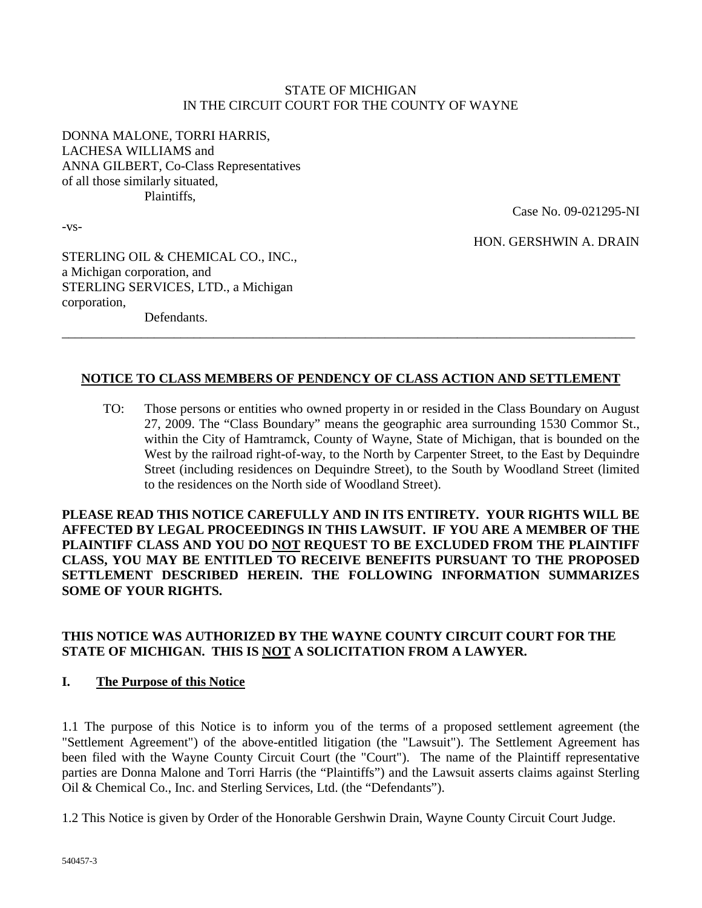#### STATE OF MICHIGAN IN THE CIRCUIT COURT FOR THE COUNTY OF WAYNE

DONNA MALONE, TORRI HARRIS, LACHESA WILLIAMS and ANNA GILBERT, Co-Class Representatives of all those similarly situated, Plaintiffs,

-vs-

Case No. 09-021295-NI

HON. GERSHWIN A. DRAIN

STERLING OIL & CHEMICAL CO., INC., a Michigan corporation, and STERLING SERVICES, LTD., a Michigan corporation,

Defendants.

### **NOTICE TO CLASS MEMBERS OF PENDENCY OF CLASS ACTION AND SETTLEMENT**

\_\_\_\_\_\_\_\_\_\_\_\_\_\_\_\_\_\_\_\_\_\_\_\_\_\_\_\_\_\_\_\_\_\_\_\_\_\_\_\_\_\_\_\_\_\_\_\_\_\_\_\_\_\_\_\_\_\_\_\_\_\_\_\_\_\_\_\_\_\_\_\_\_\_\_\_\_\_\_\_\_\_\_\_\_\_\_

TO: Those persons or entities who owned property in or resided in the Class Boundary on August 27, 2009. The "Class Boundary" means the geographic area surrounding 1530 Commor St., within the City of Hamtramck, County of Wayne, State of Michigan, that is bounded on the West by the railroad right-of-way, to the North by Carpenter Street, to the East by Dequindre Street (including residences on Dequindre Street), to the South by Woodland Street (limited to the residences on the North side of Woodland Street).

**PLEASE READ THIS NOTICE CAREFULLY AND IN ITS ENTIRETY. YOUR RIGHTS WILL BE AFFECTED BY LEGAL PROCEEDINGS IN THIS LAWSUIT. IF YOU ARE A MEMBER OF THE PLAINTIFF CLASS AND YOU DO NOT REQUEST TO BE EXCLUDED FROM THE PLAINTIFF CLASS, YOU MAY BE ENTITLED TO RECEIVE BENEFITS PURSUANT TO THE PROPOSED SETTLEMENT DESCRIBED HEREIN. THE FOLLOWING INFORMATION SUMMARIZES SOME OF YOUR RIGHTS.**

### **THIS NOTICE WAS AUTHORIZED BY THE WAYNE COUNTY CIRCUIT COURT FOR THE STATE OF MICHIGAN. THIS IS NOT A SOLICITATION FROM A LAWYER.**

#### **I. The Purpose of this Notice**

1.1 The purpose of this Notice is to inform you of the terms of a proposed settlement agreement (the "Settlement Agreement") of the above-entitled litigation (the "Lawsuit"). The Settlement Agreement has been filed with the Wayne County Circuit Court (the "Court"). The name of the Plaintiff representative parties are Donna Malone and Torri Harris (the "Plaintiffs") and the Lawsuit asserts claims against Sterling Oil & Chemical Co., Inc. and Sterling Services, Ltd. (the "Defendants").

1.2 This Notice is given by Order of the Honorable Gershwin Drain, Wayne County Circuit Court Judge.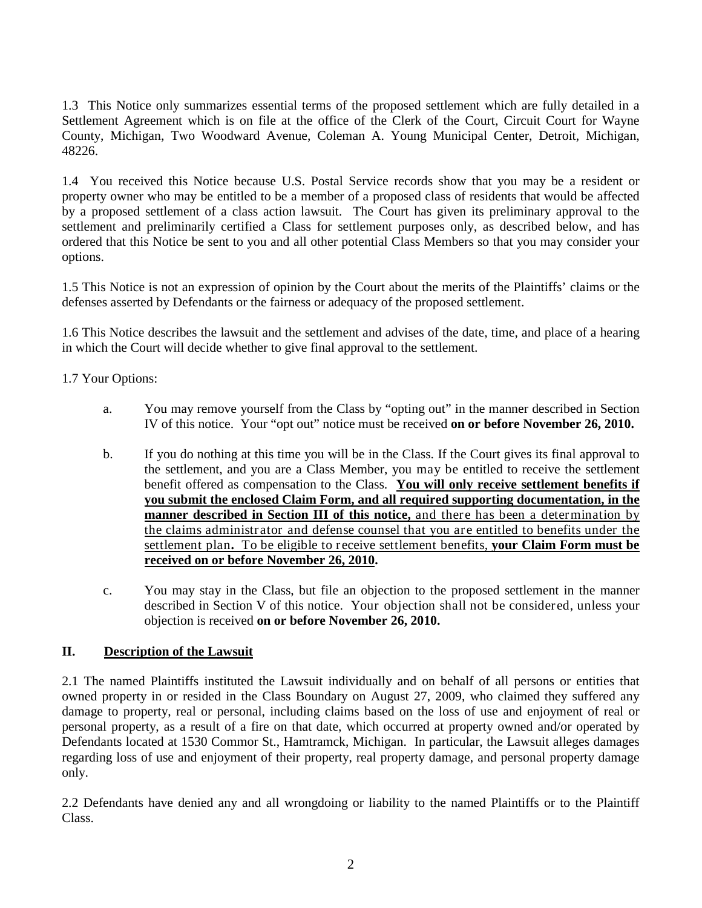1.3 This Notice only summarizes essential terms of the proposed settlement which are fully detailed in a Settlement Agreement which is on file at the office of the Clerk of the Court, Circuit Court for Wayne County, Michigan, Two Woodward Avenue, Coleman A. Young Municipal Center, Detroit, Michigan, 48226.

1.4 You received this Notice because U.S. Postal Service records show that you may be a resident or property owner who may be entitled to be a member of a proposed class of residents that would be affected by a proposed settlement of a class action lawsuit. The Court has given its preliminary approval to the settlement and preliminarily certified a Class for settlement purposes only, as described below, and has ordered that this Notice be sent to you and all other potential Class Members so that you may consider your options.

1.5 This Notice is not an expression of opinion by the Court about the merits of the Plaintiffs' claims or the defenses asserted by Defendants or the fairness or adequacy of the proposed settlement.

1.6 This Notice describes the lawsuit and the settlement and advises of the date, time, and place of a hearing in which the Court will decide whether to give final approval to the settlement.

1.7 Your Options:

- a. You may remove yourself from the Class by "opting out" in the manner described in Section IV of this notice. Your "opt out" notice must be received **on or before November 26, 2010.**
- b. If you do nothing at this time you will be in the Class. If the Court gives its final approval to the settlement, and you are a Class Member, you may be entitled to receive the settlement benefit offered as compensation to the Class. **You will only receive settlement benefits if you submit the enclosed Claim Form, and all required supporting documentation, in the manner described in Section III of this notice,** and there has been a determination by the claims administrator and defense counsel that you are entitled to benefits under the settlement plan**.** To be eligible to receive settlement benefits, **your Claim Form must be received on or before November 26, 2010.**
- c. You may stay in the Class, but file an objection to the proposed settlement in the manner described in Section V of this notice. Your objection shall not be considered, unless your objection is received **on or before November 26, 2010.**

# **II. Description of the Lawsuit**

2.1 The named Plaintiffs instituted the Lawsuit individually and on behalf of all persons or entities that owned property in or resided in the Class Boundary on August 27, 2009, who claimed they suffered any damage to property, real or personal, including claims based on the loss of use and enjoyment of real or personal property, as a result of a fire on that date, which occurred at property owned and/or operated by Defendants located at 1530 Commor St., Hamtramck, Michigan. In particular, the Lawsuit alleges damages regarding loss of use and enjoyment of their property, real property damage, and personal property damage only.

2.2 Defendants have denied any and all wrongdoing or liability to the named Plaintiffs or to the Plaintiff Class.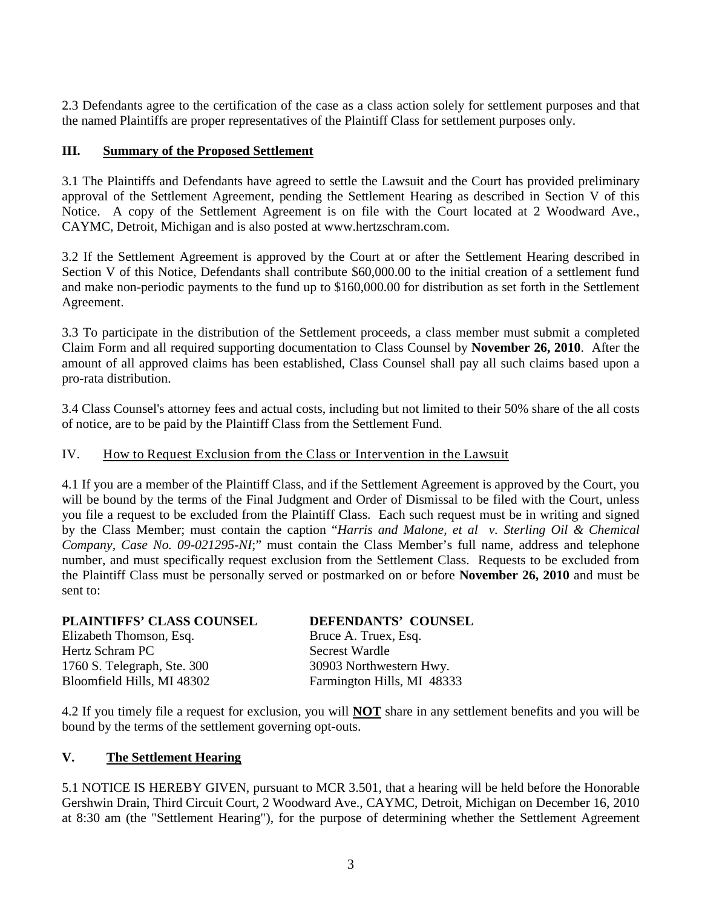2.3 Defendants agree to the certification of the case as a class action solely for settlement purposes and that the named Plaintiffs are proper representatives of the Plaintiff Class for settlement purposes only.

### **III. Summary of the Proposed Settlement**

3.1 The Plaintiffs and Defendants have agreed to settle the Lawsuit and the Court has provided preliminary approval of the Settlement Agreement, pending the Settlement Hearing as described in Section V of this Notice. A copy of the Settlement Agreement is on file with the Court located at 2 Woodward Ave., CAYMC, Detroit, Michigan and is also posted at www.hertzschram.com.

3.2 If the Settlement Agreement is approved by the Court at or after the Settlement Hearing described in Section V of this Notice, Defendants shall contribute \$60,000.00 to the initial creation of a settlement fund and make non-periodic payments to the fund up to \$160,000.00 for distribution as set forth in the Settlement Agreement.

3.3 To participate in the distribution of the Settlement proceeds, a class member must submit a completed Claim Form and all required supporting documentation to Class Counsel by **November 26, 2010**. After the amount of all approved claims has been established, Class Counsel shall pay all such claims based upon a pro-rata distribution.

3.4 Class Counsel's attorney fees and actual costs, including but not limited to their 50% share of the all costs of notice, are to be paid by the Plaintiff Class from the Settlement Fund.

#### IV. How to Request Exclusion from the Class or Intervention in the Lawsuit

4.1 If you are a member of the Plaintiff Class, and if the Settlement Agreement is approved by the Court, you will be bound by the terms of the Final Judgment and Order of Dismissal to be filed with the Court, unless you file a request to be excluded from the Plaintiff Class. Each such request must be in writing and signed by the Class Member; must contain the caption "*Harris and Malone, et al v. Sterling Oil & Chemical Company, Case No. 09-021295-NI*;" must contain the Class Member's full name, address and telephone number, and must specifically request exclusion from the Settlement Class. Requests to be excluded from the Plaintiff Class must be personally served or postmarked on or before **November 26, 2010** and must be sent to:

#### **PLAINTIFFS' CLASS COUNSEL DEFENDANTS' COUNSEL**

Elizabeth Thomson, Esq. Bruce A. Truex, Esq. Hertz Schram PC Secrest Wardle 1760 S. Telegraph, Ste. 300 30903 Northwestern Hwy.<br>Bloomfield Hills, MI 48302 Farmington Hills, MI 4833

Farmington Hills, MI 48333

4.2 If you timely file a request for exclusion, you will **NOT** share in any settlement benefits and you will be bound by the terms of the settlement governing opt-outs.

#### **V. The Settlement Hearing**

5.1 NOTICE IS HEREBY GIVEN, pursuant to MCR 3.501, that a hearing will be held before the Honorable Gershwin Drain, Third Circuit Court, 2 Woodward Ave., CAYMC, Detroit, Michigan on December 16, 2010 at 8:30 am (the "Settlement Hearing"), for the purpose of determining whether the Settlement Agreement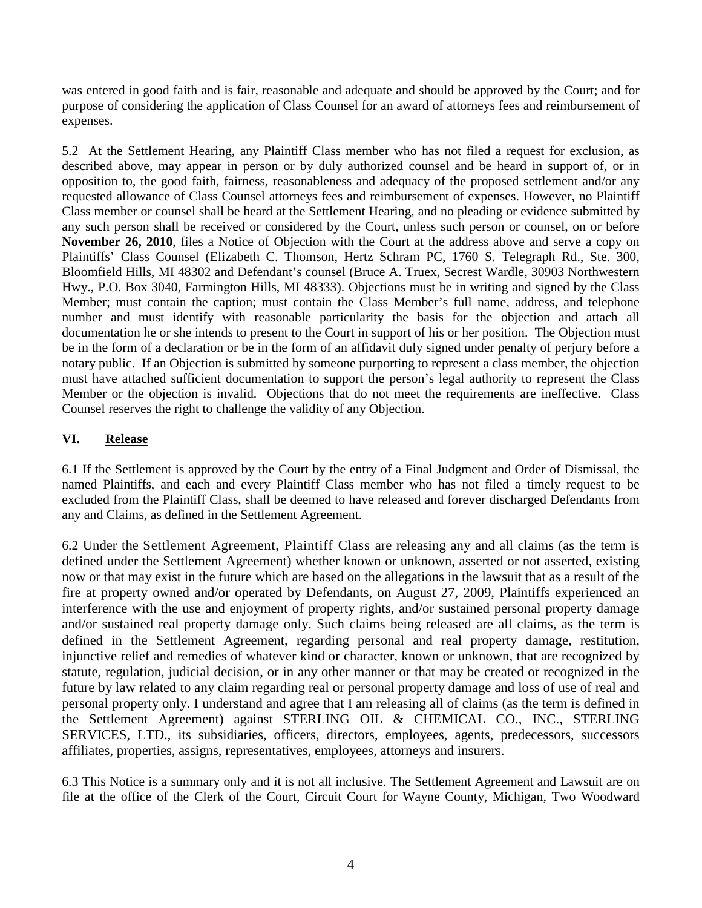was entered in good faith and is fair, reasonable and adequate and should be approved by the Court; and for purpose of considering the application of Class Counsel for an award of attorneys fees and reimbursement of expenses.

5.2 At the Settlement Hearing, any Plaintiff Class member who has not filed a request for exclusion, as described above, may appear in person or by duly authorized counsel and be heard in support of, or in opposition to, the good faith, fairness, reasonableness and adequacy of the proposed settlement and/or any requested allowance of Class Counsel attorneys fees and reimbursement of expenses. However, no Plaintiff Class member or counsel shall be heard at the Settlement Hearing, and no pleading or evidence submitted by any such person shall be received or considered by the Court, unless such person or counsel, on or before **November 26, 2010**, files a Notice of Objection with the Court at the address above and serve a copy on Plaintiffs' Class Counsel (Elizabeth C. Thomson, Hertz Schram PC, 1760 S. Telegraph Rd., Ste. 300, Bloomfield Hills, MI 48302 and Defendant's counsel (Bruce A. Truex, Secrest Wardle, 30903 Northwestern Hwy., P.O. Box 3040, Farmington Hills, MI 48333). Objections must be in writing and signed by the Class Member; must contain the caption; must contain the Class Member's full name, address, and telephone number and must identify with reasonable particularity the basis for the objection and attach all documentation he or she intends to present to the Court in support of his or her position. The Objection must be in the form of a declaration or be in the form of an affidavit duly signed under penalty of perjury before a notary public. If an Objection is submitted by someone purporting to represent a class member, the objection must have attached sufficient documentation to support the person's legal authority to represent the Class Member or the objection is invalid. Objections that do not meet the requirements are ineffective. Class Counsel reserves the right to challenge the validity of any Objection.

### **VI. Release**

6.1 If the Settlement is approved by the Court by the entry of a Final Judgment and Order of Dismissal, the named Plaintiffs, and each and every Plaintiff Class member who has not filed a timely request to be excluded from the Plaintiff Class, shall be deemed to have released and forever discharged Defendants from any and Claims, as defined in the Settlement Agreement.

6.2 Under the Settlement Agreement, Plaintiff Class are releasing any and all claims (as the term is defined under the Settlement Agreement) whether known or unknown, asserted or not asserted, existing now or that may exist in the future which are based on the allegations in the lawsuit that as a result of the fire at property owned and/or operated by Defendants, on August 27, 2009, Plaintiffs experienced an interference with the use and enjoyment of property rights, and/or sustained personal property damage and/or sustained real property damage only. Such claims being released are all claims, as the term is defined in the Settlement Agreement, regarding personal and real property damage, restitution, injunctive relief and remedies of whatever kind or character, known or unknown, that are recognized by statute, regulation, judicial decision, or in any other manner or that may be created or recognized in the future by law related to any claim regarding real or personal property damage and loss of use of real and personal property only. I understand and agree that I am releasing all of claims (as the term is defined in the Settlement Agreement) against STERLING OIL & CHEMICAL CO., INC., STERLING SERVICES, LTD., its subsidiaries, officers, directors, employees, agents, predecessors, successors affiliates, properties, assigns, representatives, employees, attorneys and insurers.

6.3 This Notice is a summary only and it is not all inclusive. The Settlement Agreement and Lawsuit are on file at the office of the Clerk of the Court, Circuit Court for Wayne County, Michigan, Two Woodward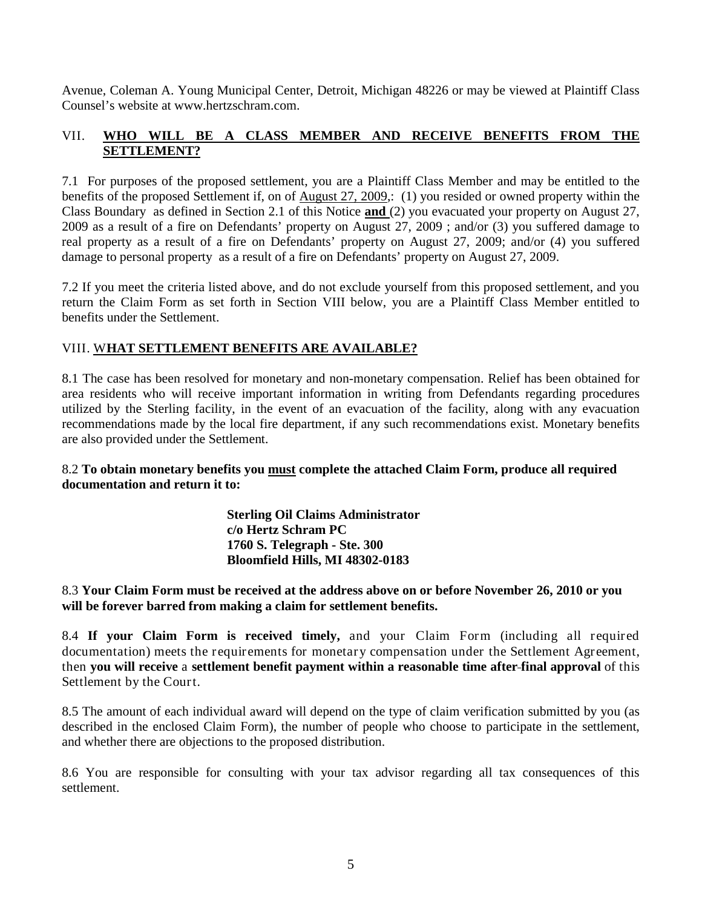Avenue, Coleman A. Young Municipal Center, Detroit, Michigan 48226 or may be viewed at Plaintiff Class Counsel's website at www.hertzschram.com.

# VII. **WHO WILL BE A CLASS MEMBER AND RECEIVE BENEFITS FROM THE SETTLEMENT?**

7.1 For purposes of the proposed settlement, you are a Plaintiff Class Member and may be entitled to the benefits of the proposed Settlement if, on of August 27, 2009,: (1) you resided or owned property within the Class Boundary as defined in Section 2.1 of this Notice **and** (2) you evacuated your property on August 27, 2009 as a result of a fire on Defendants' property on August 27, 2009 ; and/or (3) you suffered damage to real property as a result of a fire on Defendants' property on August 27, 2009; and/or (4) you suffered damage to personal property as a result of a fire on Defendants' property on August 27, 2009.

7.2 If you meet the criteria listed above, and do not exclude yourself from this proposed settlement, and you return the Claim Form as set forth in Section VIII below, you are a Plaintiff Class Member entitled to benefits under the Settlement.

### VIII. W**HAT SETTLEMENT BENEFITS ARE AVAILABLE?**

8.1 The case has been resolved for monetary and non-monetary compensation. Relief has been obtained for area residents who will receive important information in writing from Defendants regarding procedures utilized by the Sterling facility, in the event of an evacuation of the facility, along with any evacuation recommendations made by the local fire department, if any such recommendations exist. Monetary benefits are also provided under the Settlement.

### 8.2 **To obtain monetary benefits you must complete the attached Claim Form, produce all required documentation and return it to:**

**Sterling Oil Claims Administrator c/o Hertz Schram PC 1760 S. Telegraph - Ste. 300 Bloomfield Hills, MI 48302-0183**

8.3 **Your Claim Form must be received at the address above on or before November 26, 2010 or you will be forever barred from making a claim for settlement benefits.**

8.4 **If your Claim Form is received timely,** and your Claim Form (including all required documentation) meets the requirements for monetary compensation under the Settlement Agreement, then **you will receive** a **settlement benefit payment within a reasonable time after final approval** of this Settlement by the Court.

8.5 The amount of each individual award will depend on the type of claim verification submitted by you (as described in the enclosed Claim Form), the number of people who choose to participate in the settlement, and whether there are objections to the proposed distribution.

8.6 You are responsible for consulting with your tax advisor regarding all tax consequences of this settlement.